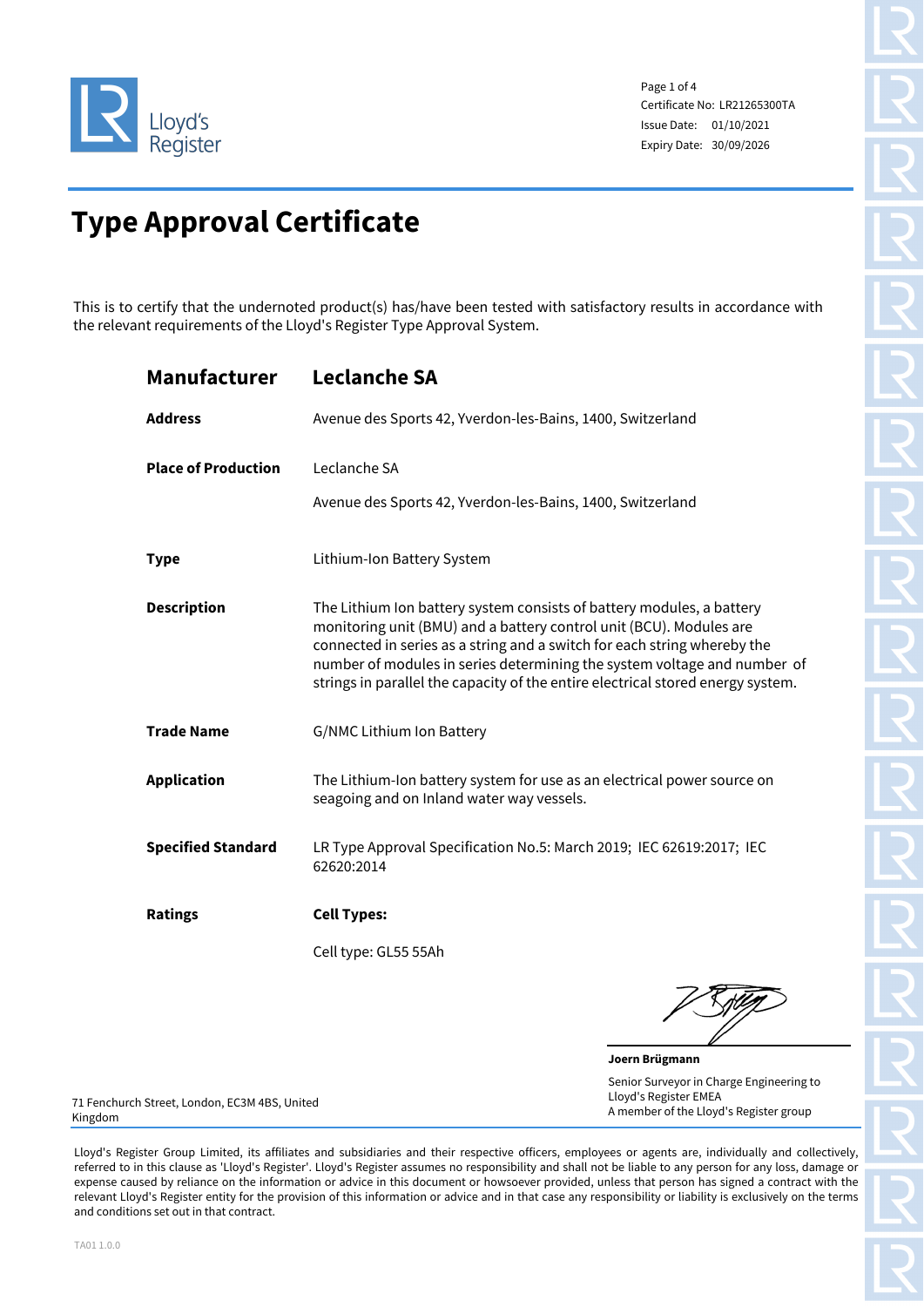

Page 1 of 4 Certificate No: LR21265300TA Issue Date: 01/10/2021 Expiry Date: 30/09/2026

# **Type Approval Certificate**

This is to certify that the undernoted product(s) has/have been tested with satisfactory results in accordance with the relevant requirements of the Lloyd's Register Type Approval System.

| <b>Manufacturer</b>        | <b>Leclanche SA</b>                                                                                                                                                                                                                                                                                                                                                                     |  |  |  |  |  |  |
|----------------------------|-----------------------------------------------------------------------------------------------------------------------------------------------------------------------------------------------------------------------------------------------------------------------------------------------------------------------------------------------------------------------------------------|--|--|--|--|--|--|
| <b>Address</b>             | Avenue des Sports 42, Yverdon-les-Bains, 1400, Switzerland                                                                                                                                                                                                                                                                                                                              |  |  |  |  |  |  |
| <b>Place of Production</b> | Leclanche SA<br>Avenue des Sports 42, Yverdon-les-Bains, 1400, Switzerland                                                                                                                                                                                                                                                                                                              |  |  |  |  |  |  |
| <b>Type</b>                | Lithium-Ion Battery System                                                                                                                                                                                                                                                                                                                                                              |  |  |  |  |  |  |
| <b>Description</b>         | The Lithium Ion battery system consists of battery modules, a battery<br>monitoring unit (BMU) and a battery control unit (BCU). Modules are<br>connected in series as a string and a switch for each string whereby the<br>number of modules in series determining the system voltage and number of<br>strings in parallel the capacity of the entire electrical stored energy system. |  |  |  |  |  |  |
| <b>Trade Name</b>          | G/NMC Lithium Ion Battery                                                                                                                                                                                                                                                                                                                                                               |  |  |  |  |  |  |
| <b>Application</b>         | The Lithium-Ion battery system for use as an electrical power source on<br>seagoing and on Inland water way vessels.                                                                                                                                                                                                                                                                    |  |  |  |  |  |  |
| <b>Specified Standard</b>  | LR Type Approval Specification No.5: March 2019; IEC 62619:2017; IEC<br>62620:2014                                                                                                                                                                                                                                                                                                      |  |  |  |  |  |  |
| <b>Ratings</b>             | <b>Cell Types:</b>                                                                                                                                                                                                                                                                                                                                                                      |  |  |  |  |  |  |
|                            | Cell type: GL55 55Ah                                                                                                                                                                                                                                                                                                                                                                    |  |  |  |  |  |  |
|                            |                                                                                                                                                                                                                                                                                                                                                                                         |  |  |  |  |  |  |

**Joern Brügmann** Senior Surveyor in Charge Engineering to Lloyd's Register EMEA A member of the Lloyd's Register group

71 Fenchurch Street, London, EC3M 4BS, United Kingdom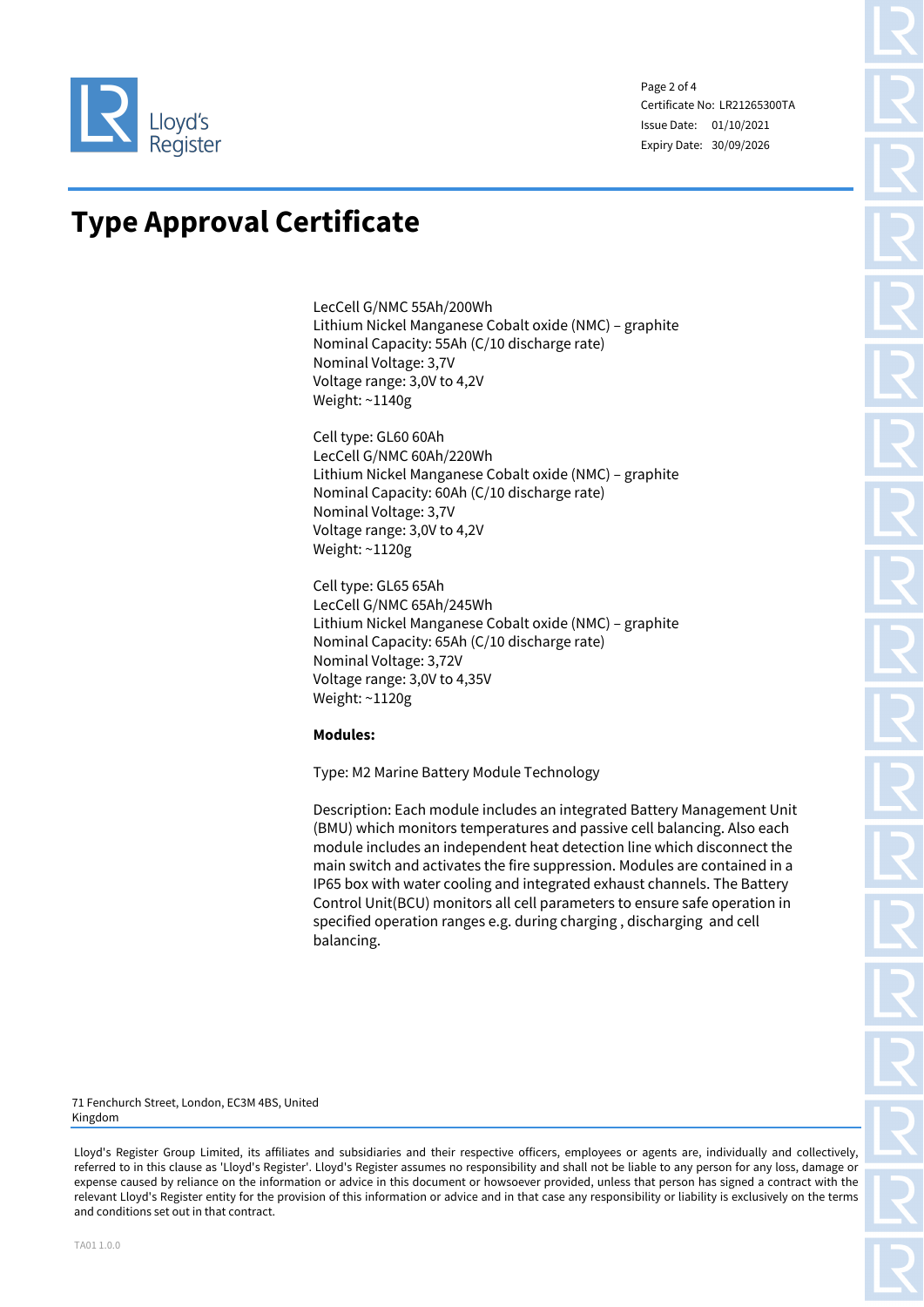

Page 2 of 4 Certificate No: LR21265300TA Issue Date: 01/10/2021 Expiry Date: 30/09/2026

### **Type Approval Certificate**

LecCell G/NMC 55Ah/200Wh Lithium Nickel Manganese Cobalt oxide (NMC) – graphite Nominal Capacity: 55Ah (C/10 discharge rate) Nominal Voltage: 3,7V Voltage range: 3,0V to 4,2V Weight: ~1140g

Cell type: GL60 60Ah LecCell G/NMC 60Ah/220Wh Lithium Nickel Manganese Cobalt oxide (NMC) – graphite Nominal Capacity: 60Ah (C/10 discharge rate) Nominal Voltage: 3,7V Voltage range: 3,0V to 4,2V Weight: ~1120g

Cell type: GL65 65Ah LecCell G/NMC 65Ah/245Wh Lithium Nickel Manganese Cobalt oxide (NMC) – graphite Nominal Capacity: 65Ah (C/10 discharge rate) Nominal Voltage: 3,72V Voltage range: 3,0V to 4,35V Weight: ~1120g

### **Modules:**

Type: M2 Marine Battery Module Technology

Description: Each module includes an integrated Battery Management Unit (BMU) which monitors temperatures and passive cell balancing. Also each module includes an independent heat detection line which disconnect the main switch and activates the fire suppression. Modules are contained in a IP65 box with water cooling and integrated exhaust channels. The Battery Control Unit(BCU) monitors all cell parameters to ensure safe operation in specified operation ranges e.g. during charging , discharging and cell balancing.

71 Fenchurch Street, London, EC3M 4BS, United Kingdom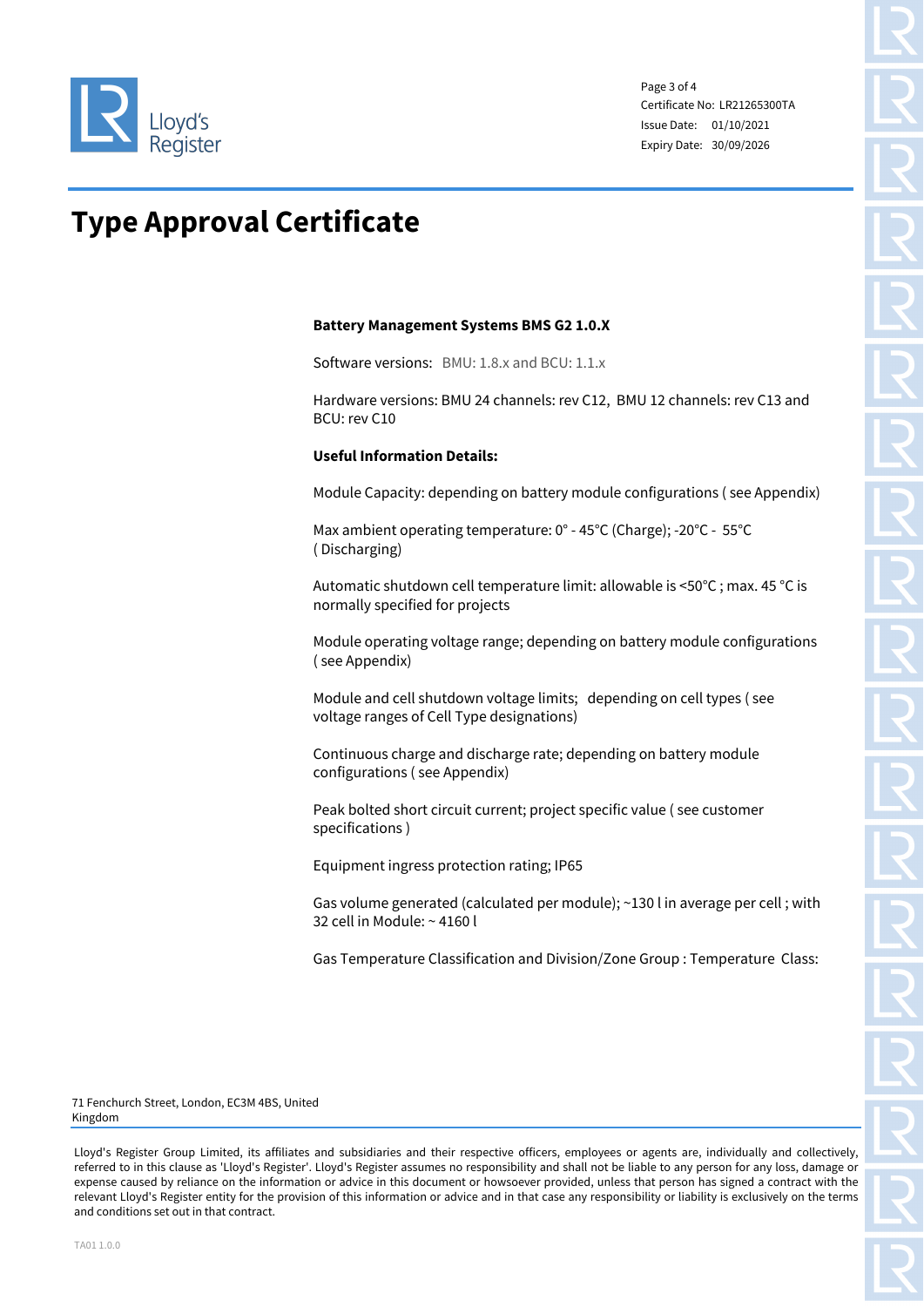

Page 3 of 4 Certificate No: LR21265300TA Issue Date: 01/10/2021 Expiry Date: 30/09/2026

## **Type Approval Certificate**

### **Battery Management Systems BMS G2 1.0.X**

Software versions: BMU: 1.8.x and BCU: 1.1.x

Hardware versions: BMU 24 channels: rev C12, BMU 12 channels: rev C13 and BCU: rev C10

### **Useful Information Details:**

Module Capacity: depending on battery module configurations ( see Appendix)

Max ambient operating temperature: 0° - 45°C (Charge); -20°C - 55°C ( Discharging)

Automatic shutdown cell temperature limit: allowable is <50°C ; max. 45 °C is normally specified for projects

Module operating voltage range; depending on battery module configurations ( see Appendix)

Module and cell shutdown voltage limits; depending on cell types ( see voltage ranges of Cell Type designations)

Continuous charge and discharge rate; depending on battery module configurations ( see Appendix)

Peak bolted short circuit current; project specific value ( see customer specifications )

Equipment ingress protection rating; IP65

Gas volume generated (calculated per module); ~130 l in average per cell ; with 32 cell in Module: ~ 4160 l

Gas Temperature Classification and Division/Zone Group : Temperature Class:

71 Fenchurch Street, London, EC3M 4BS, United Kingdom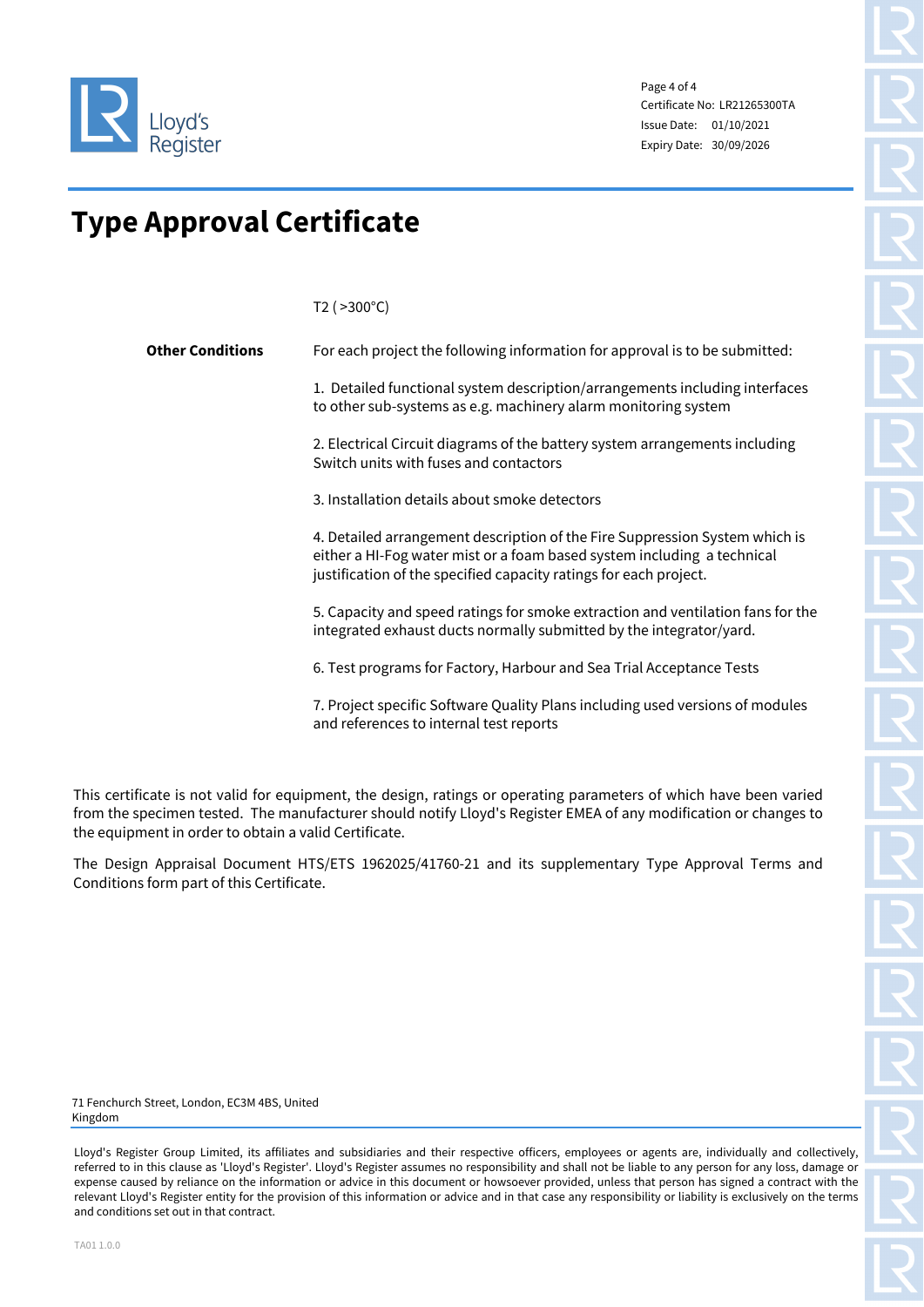

Page 4 of 4 Certificate No: LR21265300TA Issue Date: 01/10/2021 Expiry Date: 30/09/2026

## **Type Approval Certificate**

T2 ( >300°C)

| <b>Other Conditions</b> | For each project the following information for approval is to be submitted:                                                                                                                                                 |
|-------------------------|-----------------------------------------------------------------------------------------------------------------------------------------------------------------------------------------------------------------------------|
|                         | 1. Detailed functional system description/arrangements including interfaces<br>to other sub-systems as e.g. machinery alarm monitoring system                                                                               |
|                         | 2. Electrical Circuit diagrams of the battery system arrangements including<br>Switch units with fuses and contactors                                                                                                       |
|                         | 3. Installation details about smoke detectors                                                                                                                                                                               |
|                         | 4. Detailed arrangement description of the Fire Suppression System which is<br>either a HI-Fog water mist or a foam based system including a technical<br>justification of the specified capacity ratings for each project. |
|                         | 5. Capacity and speed ratings for smoke extraction and ventilation fans for the<br>integrated exhaust ducts normally submitted by the integrator/yard.                                                                      |
|                         | 6. Test programs for Factory, Harbour and Sea Trial Acceptance Tests                                                                                                                                                        |
|                         | 7. Project specific Software Quality Plans including used versions of modules<br>and references to internal test reports                                                                                                    |

This certificate is not valid for equipment, the design, ratings or operating parameters of which have been varied from the specimen tested. The manufacturer should notify Lloyd's Register EMEA of any modification or changes to the equipment in order to obtain a valid Certificate.

The Design Appraisal Document HTS/ETS 1962025/41760-21 and its supplementary Type Approval Terms and Conditions form part of this Certificate.

71 Fenchurch Street, London, EC3M 4BS, United Kingdom